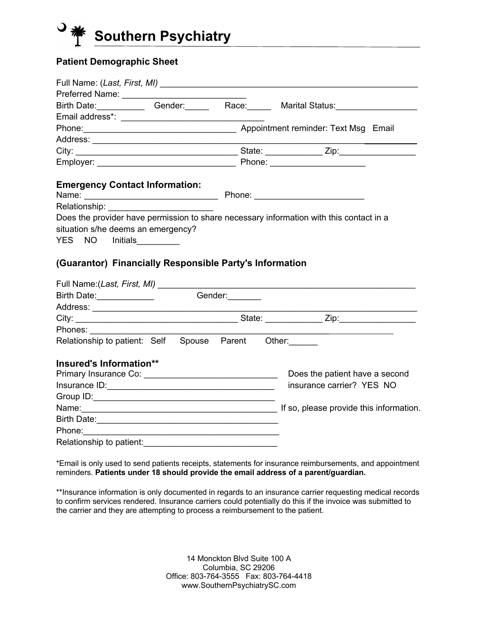

## **Patient Demographic Sheet**

|                                                                                         |                                                         |  |  | Birth Date: Gender: Race: Marital Status:                                                                                                                                                                                     |
|-----------------------------------------------------------------------------------------|---------------------------------------------------------|--|--|-------------------------------------------------------------------------------------------------------------------------------------------------------------------------------------------------------------------------------|
|                                                                                         |                                                         |  |  |                                                                                                                                                                                                                               |
|                                                                                         | Phone: 2008 [2013] Appointment reminder: Text Msg Email |  |  |                                                                                                                                                                                                                               |
|                                                                                         |                                                         |  |  |                                                                                                                                                                                                                               |
|                                                                                         |                                                         |  |  |                                                                                                                                                                                                                               |
|                                                                                         |                                                         |  |  |                                                                                                                                                                                                                               |
| <b>Emergency Contact Information:</b>                                                   |                                                         |  |  |                                                                                                                                                                                                                               |
|                                                                                         |                                                         |  |  |                                                                                                                                                                                                                               |
|                                                                                         |                                                         |  |  |                                                                                                                                                                                                                               |
| Does the provider have permission to share necessary information with this contact in a |                                                         |  |  |                                                                                                                                                                                                                               |
| situation s/he deems an emergency?                                                      |                                                         |  |  |                                                                                                                                                                                                                               |
| YES NO Initials_________                                                                |                                                         |  |  |                                                                                                                                                                                                                               |
| (Guarantor) Financially Responsible Party's Information                                 |                                                         |  |  |                                                                                                                                                                                                                               |
| Birth Date: <u>Community Conder:</u>                                                    |                                                         |  |  |                                                                                                                                                                                                                               |
|                                                                                         |                                                         |  |  |                                                                                                                                                                                                                               |
|                                                                                         |                                                         |  |  |                                                                                                                                                                                                                               |
| Phones: <u>_____</u>                                                                    |                                                         |  |  |                                                                                                                                                                                                                               |
| Relationship to patient: Self Spouse Parent Other:                                      |                                                         |  |  |                                                                                                                                                                                                                               |
| Insured's Information**                                                                 |                                                         |  |  |                                                                                                                                                                                                                               |
|                                                                                         |                                                         |  |  | Does the patient have a second                                                                                                                                                                                                |
|                                                                                         |                                                         |  |  | insurance carrier? YES NO                                                                                                                                                                                                     |
|                                                                                         |                                                         |  |  |                                                                                                                                                                                                                               |
|                                                                                         |                                                         |  |  | Name: Name: Name: Name: Name: Name: Name: Name: Name: Name: Name: Name: Name: Name: Name: Name: Name: Name: Name: Name: Name: Name: Name: Name: Name: Name: Name: Name: Name: Name: Name: Name: Name: Name: Name: Name: Name: |
| Birth Date: <u>Alexander State Communication</u>                                        |                                                         |  |  |                                                                                                                                                                                                                               |
|                                                                                         |                                                         |  |  |                                                                                                                                                                                                                               |
| Relationship to patient:                                                                |                                                         |  |  |                                                                                                                                                                                                                               |

\*Email is only used to send patients receipts, statements for insurance reimbursements, and appointment reminders. **Patients under 18 should provide the email address of a parent/guardian.**

\*\*Insurance information is only documented in regards to an insurance carrier requesting medical records to confirm services rendered. Insurance carriers could potentially do this if the invoice was submitted to the carrier and they are attempting to process a reimbursement to the patient.

> 14 Monckton Blvd Suite 100 A Columbia, SC 29206 Office: 803-764-3555 Fax: 803-764-4418 www.SouthernPsychiatrySC.com